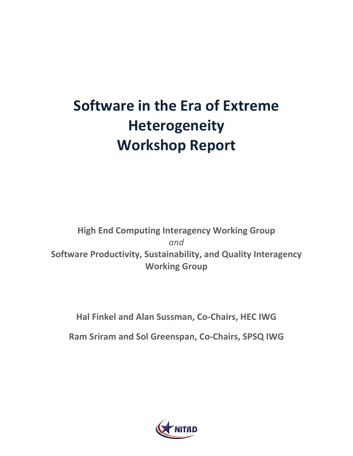# **Software in the Era of Extreme Heterogeneity Workshop Report**

# **High End Computing Interagency Working Group** *and* **Software Productivity, Sustainability, and Quality Interagency Working Group**

### **Hal Finkel and Alan Sussman, Co-Chairs, HEC IWG**

**Ram Sriram and Sol Greenspan, Co-Chairs, SPSQ IWG**

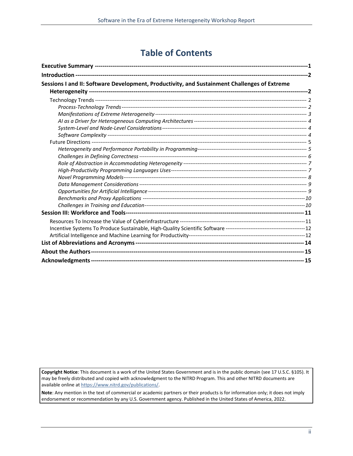### **Table of Contents**

| Sessions I and II: Software Development, Productivity, and Sustainment Challenges of Extreme |  |
|----------------------------------------------------------------------------------------------|--|
|                                                                                              |  |
|                                                                                              |  |
|                                                                                              |  |
|                                                                                              |  |
|                                                                                              |  |
|                                                                                              |  |
|                                                                                              |  |
|                                                                                              |  |
|                                                                                              |  |
|                                                                                              |  |
|                                                                                              |  |
|                                                                                              |  |
|                                                                                              |  |
|                                                                                              |  |
|                                                                                              |  |
|                                                                                              |  |
|                                                                                              |  |
|                                                                                              |  |
|                                                                                              |  |
|                                                                                              |  |
|                                                                                              |  |
|                                                                                              |  |
|                                                                                              |  |
|                                                                                              |  |
|                                                                                              |  |

**Copyright Notice**: This document is a work of the United States Government and is in the public domain (see 17 U.S.C. §105). It may be freely distributed and copied with acknowledgment to the NITRD Program. This and other NITRD documents are available online a[t https://www.nitrd.gov/publications/.](https://www.nitrd.gov/publications/)

**Note**: Any mention in the text of commercial or academic partners or their products is for information only; it does not imply endorsement or recommendation by any U.S. Government agency. Published in the United States of America, 2022.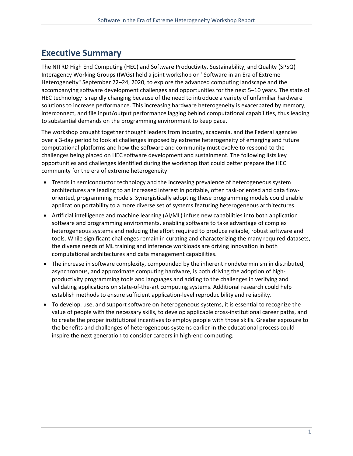### <span id="page-2-0"></span>**Executive Summary**

The NITRD High End Computing (HEC) and Software Productivity, Sustainability, and Quality (SPSQ) Interagency Working Groups (IWGs) held a joint workshop on "Software in an Era of Extreme Heterogeneity" September 22–24, 2020, to explore the advanced computing landscape and the accompanying software development challenges and opportunities for the next 5–10 years. The state of HEC technology is rapidly changing because of the need to introduce a variety of unfamiliar hardware solutions to increase performance. This increasing hardware heterogeneity is exacerbated by memory, interconnect, and file input/output performance lagging behind computational capabilities, thus leading to substantial demands on the programming environment to keep pace.

The workshop brought together thought leaders from industry, academia, and the Federal agencies over a 3-day period to look at challenges imposed by extreme heterogeneity of emerging and future computational platforms and how the software and community must evolve to respond to the challenges being placed on HEC software development and sustainment. The following lists key opportunities and challenges identified during the workshop that could better prepare the HEC community for the era of extreme heterogeneity:

- Trends in semiconductor technology and the increasing prevalence of heterogeneous system architectures are leading to an increased interest in portable, often task-oriented and data floworiented, programming models. Synergistically adopting these programming models could enable application portability to a more diverse set of systems featuring heterogeneous architectures.
- Artificial intelligence and machine learning (AI/ML) infuse new capabilities into both application software and programming environments, enabling software to take advantage of complex heterogeneous systems and reducing the effort required to produce reliable, robust software and tools. While significant challenges remain in curating and characterizing the many required datasets, the diverse needs of ML training and inference workloads are driving innovation in both computational architectures and data management capabilities.
- The increase in software complexity, compounded by the inherent nondeterminism in distributed, asynchronous, and approximate computing hardware, is both driving the adoption of highproductivity programming tools and languages and adding to the challenges in verifying and validating applications on state-of-the-art computing systems. Additional research could help establish methods to ensure sufficient application-level reproducibility and reliability.
- To develop, use, and support software on heterogeneous systems, it is essential to recognize the value of people with the necessary skills, to develop applicable cross-institutional career paths, and to create the proper institutional incentives to employ people with those skills. Greater exposure to the benefits and challenges of heterogeneous systems earlier in the educational process could inspire the next generation to consider careers in high-end computing.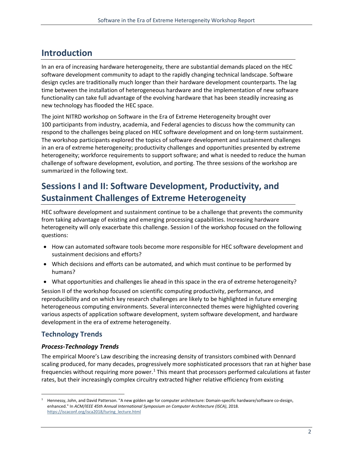### <span id="page-3-0"></span>**Introduction**

In an era of increasing hardware heterogeneity, there are substantial demands placed on the HEC software development community to adapt to the rapidly changing technical landscape. Software design cycles are traditionally much longer than their hardware development counterparts. The lag time between the installation of heterogeneous hardware and the implementation of new software functionality can take full advantage of the evolving hardware that has been steadily increasing as new technology has flooded the HEC space.

The joint NITRD workshop on Software in the Era of Extreme Heterogeneity brought over 100 participants from industry, academia, and Federal agencies to discuss how the community can respond to the challenges being placed on HEC software development and on long-term sustainment. The workshop participants explored the topics of software development and sustainment challenges in an era of extreme heterogeneity; productivity challenges and opportunities presented by extreme heterogeneity; workforce requirements to support software; and what is needed to reduce the human challenge of software development, evolution, and porting. The three sessions of the workshop are summarized in the following text.

# <span id="page-3-1"></span>**Sessions I and II: Software Development, Productivity, and Sustainment Challenges of Extreme Heterogeneity**

HEC software development and sustainment continue to be a challenge that prevents the community from taking advantage of existing and emerging processing capabilities. Increasing hardware heterogeneity will only exacerbate this challenge. Session I of the workshop focused on the following questions:

- How can automated software tools become more responsible for HEC software development and sustainment decisions and efforts?
- Which decisions and efforts can be automated, and which must continue to be performed by humans?
- What opportunities and challenges lie ahead in this space in the era of extreme heterogeneity?

Session II of the workshop focused on scientific computing productivity, performance, and reproducibility and on which key research challenges are likely to be highlighted in future emerging heterogeneous computing environments. Several interconnected themes were highlighted covering various aspects of application software development, system software development, and hardware development in the era of extreme heterogeneity.

#### <span id="page-3-2"></span>**Technology Trends**

#### <span id="page-3-3"></span>*Process-Technology Trends*

The empirical Moore's Law describing the increasing density of transistors combined with Dennard scaling produced, for many decades, progressively more sophisticated processors that ran at higher base frequencies without requiring more power.<sup>[1](#page-3-4)</sup> This meant that processors performed calculations at faster rates, but their increasingly complex circuitry extracted higher relative efficiency from existing

<span id="page-3-4"></span> $1$  Hennessy, John, and David Patterson. "A new golden age for computer architecture: Domain-specific hardware/software co-design, enhanced." In *ACM/IEEE 45th Annual International Symposium on Computer Architecture (ISCA)*, 2018. [https://iscaconf.org/isca2018/turing\\_lecture.html](https://iscaconf.org/isca2018/turing_lecture.html)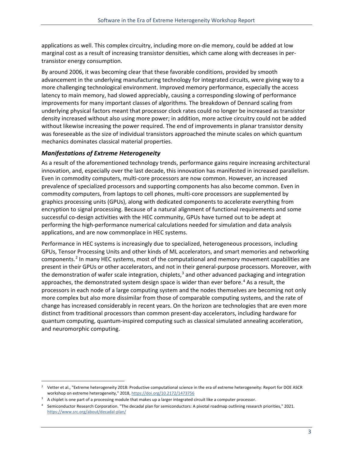applications as well. This complex circuitry, including more on-die memory, could be added at low marginal cost as a result of increasing transistor densities, which came along with decreases in pertransistor energy consumption.

By around 2006, it was becoming clear that these favorable conditions, provided by smooth advancement in the underlying manufacturing technology for integrated circuits, were giving way to a more challenging technological environment. Improved memory performance, especially the access latency to main memory, had slowed appreciably, causing a corresponding slowing of performance improvements for many important classes of algorithms. The breakdown of Dennard scaling from underlying physical factors meant that processor clock rates could no longer be increased as transistor density increased without also using more power; in addition, more active circuitry could not be added without likewise increasing the power required. The end of improvements in planar transistor density was foreseeable as the size of individual transistors approached the minute scales on which quantum mechanics dominates classical material properties.

#### <span id="page-4-0"></span>*Manifestations of Extreme Heterogeneity*

As a result of the aforementioned technology trends, performance gains require increasing architectural innovation, and, especially over the last decade, this innovation has manifested in increased parallelism. Even in commodity computers, multi-core processors are now common. However, an increased prevalence of specialized processors and supporting components has also become common. Even in commodity computers, from laptops to cell phones, multi-core processors are supplemented by graphics processing units (GPUs), along with dedicated components to accelerate everything from encryption to signal processing. Because of a natural alignment of functional requirements and some successful co-design activities with the HEC community, GPUs have turned out to be adept at performing the high-performance numerical calculations needed for simulation and data analysis applications, and are now commonplace in HEC systems.

Performance in HEC systems is increasingly due to specialized, heterogeneous processors, including GPUs, Tensor Processing Units and other kinds of ML accelerators, and smart memories and networking components. [2](#page-4-1) In many HEC systems, most of the computational and memory movement capabilities are present in their GPUs or other accelerators, and not in their general-purpose processors. Moreover, with the demonstration of wafer scale integration, chiplets, $3$  and other advanced packaging and integration approaches, the demonstrated system design space is wider than ever before. [4](#page-4-3) As a result, the processors in each node of a large computing system and the nodes themselves are becoming not only more complex but also more dissimilar from those of comparable computing systems, and the rate of change has increased considerably in recent years. On the horizon are technologies that are even more distinct from traditional processors than common present-day accelerators, including hardware for quantum computing, quantum-inspired computing such as classical simulated annealing acceleration, and neuromorphic computing.

<span id="page-4-1"></span><sup>&</sup>lt;sup>2</sup> Vetter et al., "Extreme heterogeneity 2018: Productive computational science in the era of extreme heterogeneity: Report for DOE ASCR workshop on extreme heterogeneity," 2018[, https://doi.org/10.2172/1473756](https://doi.org/10.2172/1473756)

<span id="page-4-2"></span><sup>&</sup>lt;sup>3</sup> A chiplet is one part of a processing module that makes up a larger integrated circuit like a computer processor.

<span id="page-4-3"></span><sup>4</sup> Semiconductor Research Corporation. "The decadal plan for semiconductors: A pivotal roadmap outlining research priorities," 2021. <https://www.src.org/about/decadal-plan/>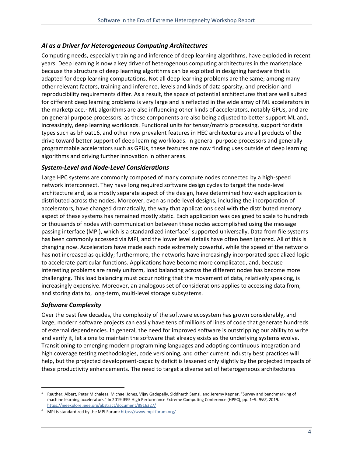#### <span id="page-5-0"></span>*AI as a Driver for Heterogeneous Computing Architectures*

Computing needs, especially training and inference of deep learning algorithms, have exploded in recent years. Deep learning is now a key driver of heterogenous computing architectures in the marketplace because the structure of deep learning algorithms can be exploited in designing hardware that is adapted for deep learning computations. Not all deep learning problems are the same; among many other relevant factors, training and inference, levels and kinds of data sparsity, and precision and reproducibility requirements differ. As a result, the space of potential architectures that are well suited for different deep learning problems is very large and is reflected in the wide array of ML accelerators in the marketplace.<sup>[5](#page-5-3)</sup> ML algorithms are also influencing other kinds of accelerators, notably GPUs, and are on general-purpose processors, as these components are also being adjusted to better support ML and, increasingly, deep learning workloads. Functional units for tensor/matrix processing, support for data types such as bFloat16, and other now prevalent features in HEC architectures are all products of the drive toward better support of deep learning workloads. In general-purpose processors and generally programmable accelerators such as GPUs, these features are now finding uses outside of deep learning algorithms and driving further innovation in other areas.

#### <span id="page-5-1"></span>*System-Level and Node-Level Considerations*

Large HPC systems are commonly composed of many compute nodes connected by a high-speed network interconnect. They have long required software design cycles to target the node-level architecture and, as a mostly separate aspect of the design, have determined how each application is distributed across the nodes. Moreover, even as node-level designs, including the incorporation of accelerators, have changed dramatically, the way that applications deal with the distributed memory aspect of these systems has remained mostly static. Each application was designed to scale to hundreds or thousands of nodes with communication between these nodes accomplished using the message passing interface (MPI), which is a standardized interface<sup>[6](#page-5-4)</sup> supported universally. Data from file systems has been commonly accessed via MPI, and the lower level details have often been ignored. All of this is changing now. Accelerators have made each node extremely powerful, while the speed of the networks has not increased as quickly; furthermore, the networks have increasingly incorporated specialized logic to accelerate particular functions. Applications have become more complicated, and, because interesting problems are rarely uniform, load balancing across the different nodes has become more challenging. This load balancing must occur noting that the movement of data, relatively speaking, is increasingly expensive. Moreover, an analogous set of considerations applies to accessing data from, and storing data to, long-term, multi-level storage subsystems.

#### <span id="page-5-2"></span>*Software Complexity*

Over the past few decades, the complexity of the software ecosystem has grown considerably, and large, modern software projects can easily have tens of millions of lines of code that generate hundreds of external dependencies. In general, the need for improved software is outstripping our ability to write and verify it, let alone to maintain the software that already exists as the underlying systems evolve. Transitioning to emerging modern programming languages and adopting continuous integration and high coverage testing methodologies, code versioning, and other current industry best practices will help, but the projected development-capacity deficit is lessened only slightly by the projected impacts of these productivity enhancements. The need to target a diverse set of heterogeneous architectures

<span id="page-5-3"></span><sup>5</sup> Reuther, Albert, Peter Michaleas, Michael Jones, Vijay Gadepally, Siddharth Samsi, and Jeremy Kepner. "Survey and benchmarking of machine learning accelerators." In 2019 IEEE High Performance Extreme Computing Conference (HPEC), pp. 1–9. *IEEE*, 2019. <https://ieeexplore.ieee.org/abstract/document/8916327/>

<span id="page-5-4"></span><sup>&</sup>lt;sup>6</sup> MPI is standardized by the MPI Forum: <https://www.mpi-forum.org/>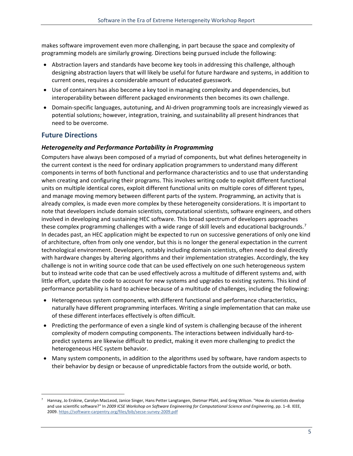makes software improvement even more challenging, in part because the space and complexity of programming models are similarly growing. Directions being pursued include the following:

- Abstraction layers and standards have become key tools in addressing this challenge, although designing abstraction layers that will likely be useful for future hardware and systems, in addition to current ones, requires a considerable amount of educated guesswork.
- Use of containers has also become a key tool in managing complexity and dependencies, but interoperability between different packaged environments then becomes its own challenge.
- Domain-specific languages, autotuning, and AI-driven programming tools are increasingly viewed as potential solutions; however, integration, training, and sustainability all present hindrances that need to be overcome.

#### <span id="page-6-0"></span>**Future Directions**

#### <span id="page-6-1"></span>*Heterogeneity and Performance Portability in Programming*

Computers have always been composed of a myriad of components, but what defines heterogeneity in the current context is the need for ordinary application programmers to understand many different components in terms of both functional and performance characteristics and to use that understanding when creating and configuring their programs. This involves writing code to exploit different functional units on multiple identical cores, exploit different functional units on multiple cores of different types, and manage moving memory between different parts of the system. Programming, an activity that is already complex, is made even more complex by these heterogeneity considerations. It is important to note that developers include domain scientists, computational scientists, software engineers, and others involved in developing and sustaining HEC software. This broad spectrum of developers approaches these complex programming challenges with a wide range of skill levels and educational backgrounds.<sup>[7](#page-6-2)</sup> In decades past, an HEC application might be expected to run on successive generations of only one kind of architecture, often from only one vendor, but this is no longer the general expectation in the current technological environment. Developers, notably including domain scientists, often need to deal directly with hardware changes by altering algorithms and their implementation strategies. Accordingly, the key challenge is not in writing source code that can be used effectively on one such heterogeneous system but to instead write code that can be used effectively across a multitude of different systems and, with little effort, update the code to account for new systems and upgrades to existing systems. This kind of performance portability is hard to achieve because of a multitude of challenges, including the following:

- Heterogeneous system components, with different functional and performance characteristics, naturally have different programming interfaces. Writing a single implementation that can make use of these different interfaces effectively is often difficult.
- Predicting the performance of even a single kind of system is challenging because of the inherent complexity of modern computing components. The interactions between individually hard-topredict systems are likewise difficult to predict, making it even more challenging to predict the heterogeneous HEC system behavior.
- Many system components, in addition to the algorithms used by software, have random aspects to their behavior by design or because of unpredictable factors from the outside world, or both.

<span id="page-6-2"></span><sup>7</sup> Hannay, Jo Erskine, Carolyn MacLeod, Janice Singer, Hans Petter Langtangen, Dietmar Pfahl, and Greg Wilson. "How do scientists develop and use scientific software?" In *2009 ICSE Workshop on Software Engineering for Computational Science and Engineering*, pp. 1–8. IEEE, 2009. <https://software-carpentry.org/files/bib/secse-survey-2009.pdf>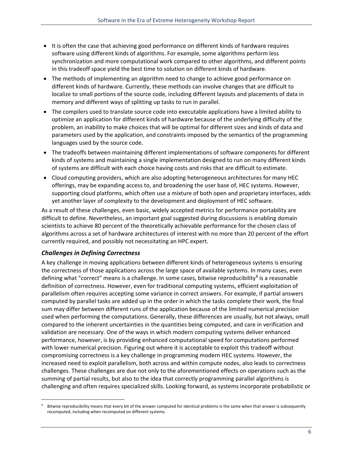- It is often the case that achieving good performance on different kinds of hardware requires software using different kinds of algorithms. For example, some algorithms perform less synchronization and more computational work compared to other algorithms, and different points in this tradeoff space yield the best time to solution on different kinds of hardware.
- The methods of implementing an algorithm need to change to achieve good performance on different kinds of hardware. Currently, these methods can involve changes that are difficult to localize to small portions of the source code, including different layouts and placements of data in memory and different ways of splitting up tasks to run in parallel.
- The compilers used to translate source code into executable applications have a limited ability to optimize an application for different kinds of hardware because of the underlying difficulty of the problem, an inability to make choices that will be optimal for different sizes and kinds of data and parameters used by the application, and constraints imposed by the semantics of the programming languages used by the source code.
- The tradeoffs between maintaining different implementations of software components for different kinds of systems and maintaining a single implementation designed to run on many different kinds of systems are difficult with each choice having costs and risks that are difficult to estimate.
- Cloud computing providers, which are also adopting heterogeneous architectures for many HEC offerings, may be expanding access to, and broadening the user base of, HEC systems. However, supporting cloud platforms, which often use a mixture of both open and proprietary interfaces, adds yet another layer of complexity to the development and deployment of HEC software.

As a result of these challenges, even basic, widely accepted metrics for performance portability are difficult to define. Nevertheless, an important goal suggested during discussions is enabling domain scientists to achieve 80 percent of the theoretically achievable performance for the chosen class of algorithms across a set of hardware architectures of interest with no more than 20 percent of the effort currently required, and possibly not necessitating an HPC expert.

#### <span id="page-7-0"></span>*Challenges in Defining Correctness*

A key challenge in moving applications between different kinds of heterogeneous systems is ensuring the correctness of those applications across the large space of available systems. In many cases, even defining what "correct" means is a challenge. In some cases, bitwise reproducibility<sup>[8](#page-7-1)</sup> is a reasonable definition of correctness. However, even for traditional computing systems, efficient exploitation of parallelism often requires accepting some variance in correct answers. For example, if partial answers computed by parallel tasks are added up in the order in which the tasks complete their work, the final sum may differ between different runs of the application because of the limited numerical precision used when performing the computations. Generally, these differences are usually, but not always, small compared to the inherent uncertainties in the quantities being computed, and care in verification and validation are necessary. One of the ways in which modern computing systems deliver enhanced performance, however, is by providing enhanced computational speed for computations performed with lower numerical precision. Figuring out where it is acceptable to exploit this tradeoff without compromising correctness is a key challenge in programming modern HEC systems. However, the increased need to exploit parallelism, both across and within compute nodes, also leads to correctness challenges. These challenges are due not only to the aforementioned effects on operations such as the summing of partial results, but also to the idea that correctly programming parallel algorithms is challenging and often requires specialized skills. Looking forward, as systems incorporate probabilistic or

<span id="page-7-1"></span><sup>8</sup> Bitwise reproducibility means that every bit of the answer computed for identical problems is the same when that answer is subsequently recomputed, including when recomputed on different systems.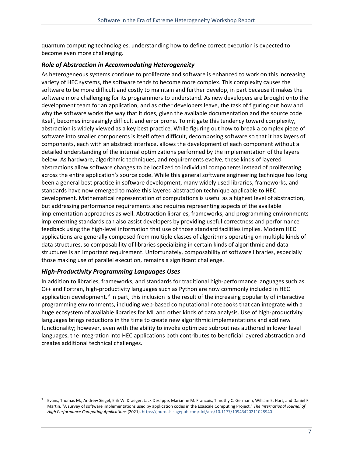quantum computing technologies, understanding how to define correct execution is expected to become even more challenging.

#### <span id="page-8-0"></span>*Role of Abstraction in Accommodating Heterogeneity*

As heterogeneous systems continue to proliferate and software is enhanced to work on this increasing variety of HEC systems, the software tends to become more complex. This complexity causes the software to be more difficult and costly to maintain and further develop, in part because it makes the software more challenging for its programmers to understand. As new developers are brought onto the development team for an application, and as other developers leave, the task of figuring out how and why the software works the way that it does, given the available documentation and the source code itself, becomes increasingly difficult and error prone. To mitigate this tendency toward complexity, abstraction is widely viewed as a key best practice. While figuring out how to break a complex piece of software into smaller components is itself often difficult, decomposing software so that it has layers of components, each with an abstract interface, allows the development of each component without a detailed understanding of the internal optimizations performed by the implementation of the layers below. As hardware, algorithmic techniques, and requirements evolve, these kinds of layered abstractions allow software changes to be localized to individual components instead of proliferating across the entire application's source code. While this general software engineering technique has long been a general best practice in software development, many widely used libraries, frameworks, and standards have now emerged to make this layered abstraction technique applicable to HEC development. Mathematical representation of computations is useful as a highest level of abstraction, but addressing performance requirements also requires representing aspects of the available implementation approaches as well. Abstraction libraries, frameworks, and programming environments implementing standards can also assist developers by providing useful correctness and performance feedback using the high-level information that use of those standard facilities implies. Modern HEC applications are generally composed from multiple classes of algorithms operating on multiple kinds of data structures, so composability of libraries specializing in certain kinds of algorithmic and data structures is an important requirement. Unfortunately, composability of software libraries, especially those making use of parallel execution, remains a significant challenge.

#### <span id="page-8-1"></span>*High-Productivity Programming Languages Uses*

In addition to libraries, frameworks, and standards for traditional high-performance languages such as C++ and Fortran, high-productivity languages such as Python are now commonly included in HEC application development.<sup>[9](#page-8-2)</sup> In part, this inclusion is the result of the increasing popularity of interactive programming environments, including web-based computational notebooks that can integrate with a huge ecosystem of available libraries for ML and other kinds of data analysis. Use of high-productivity languages brings reductions in the time to create new algorithmic implementations and add new functionality; however, even with the ability to invoke optimized subroutines authored in lower level languages, the integration into HEC applications both contributes to beneficial layered abstraction and creates additional technical challenges.

<span id="page-8-2"></span><sup>9</sup> Evans, Thomas M., Andrew Siegel, Erik W. Draeger, Jack Deslippe, Marianne M. Francois, Timothy C. Germann, William E. Hart, and Daniel F. Martin. "A survey of software implementations used by application codes in the Exascale Computing Project." *The International Journal of High Performance Computing Applications* (2021)[. https://journals.sagepub.com/doi/abs/10.1177/10943420211028940](https://journals.sagepub.com/doi/abs/10.1177/10943420211028940)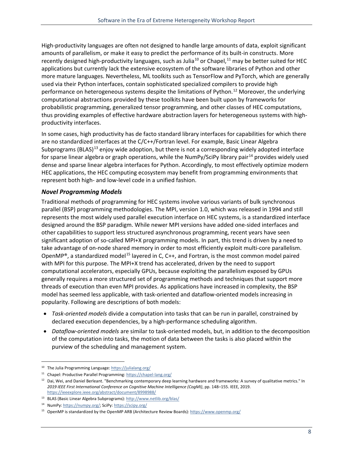High-productivity languages are often not designed to handle large amounts of data, exploit significant amounts of parallelism, or make it easy to predict the performance of its built-in constructs. More recently designed high-productivity languages, such as Julia<sup>[10](#page-9-1)</sup> or Chapel,<sup>[11](#page-9-2)</sup> may be better suited for HEC applications but currently lack the extensive ecosystem of the software libraries of Python and other more mature languages. Nevertheless, ML toolkits such as TensorFlow and PyTorch, which are generally used via their Python interfaces, contain sophisticated specialized compilers to provide high performance on heterogeneous systems despite the limitations of Python. [12](#page-9-3) Moreover, the underlying computational abstractions provided by these toolkits have been built upon by frameworks for probabilistic programming, generalized tensor programming, and other classes of HEC computations, thus providing examples of effective hardware abstraction layers for heterogeneous systems with highproductivity interfaces.

In some cases, high productivity has de facto standard library interfaces for capabilities for which there are no standardized interfaces at the C/C++/Fortran level. For example, Basic Linear Algebra Subprograms (BLAS)<sup>[13](#page-9-4)</sup> enjoy wide adoption, but there is not a corresponding widely adopted interface for sparse linear algebra or graph operations, while the NumPy/SciPy library pair<sup>[14](#page-9-5)</sup> provides widely used dense and sparse linear algebra interfaces for Python. Accordingly, to most effectively optimize modern HEC applications, the HEC computing ecosystem may benefit from programming environments that represent both high- and low-level code in a unified fashion.

#### <span id="page-9-0"></span>*Novel Programming Models*

Traditional methods of programming for HEC systems involve various variants of bulk synchronous parallel (BSP) programming methodologies. The MPI, version 1.0, which was released in 1994 and still represents the most widely used parallel execution interface on HEC systems, is a standardized interface designed around the BSP paradigm. While newer MPI versions have added one-sided interfaces and other capabilities to support less structured asynchronous programming, recent years have seen significant adoption of so-called MPI+X programming models. In part, this trend is driven by a need to take advantage of on-node shared memory in order to most efficiently exploit multi-core parallelism. OpenMP®, a standardized model<sup>[15](#page-9-6)</sup> layered in C, C++, and Fortran, is the most common model paired with MPI for this purpose. The MPI+X trend has accelerated, driven by the need to support computational accelerators, especially GPUs, because exploiting the parallelism exposed by GPUs generally requires a more structured set of programming methods and techniques that support more threads of execution than even MPI provides. As applications have increased in complexity, the BSP model has seemed less applicable, with task-oriented and dataflow-oriented models increasing in popularity. Following are descriptions of both models:

- *Task-oriented models* divide a computation into tasks that can be run in parallel, constrained by declared execution dependencies, by a high-performance scheduling algorithm.
- *Dataflow-oriented models* are similar to task-oriented models, but, in addition to the decomposition of the computation into tasks, the motion of data between the tasks is also placed within the purview of the scheduling and management system.

<span id="page-9-1"></span><sup>10</sup> The Julia Programming Language[: https://julialang.org/](https://julialang.org/)

<span id="page-9-2"></span><sup>11</sup> Chapel: Productive Parallel Programming[: https://chapel-lang.org/](https://chapel-lang.org/)

<span id="page-9-3"></span> $12$  Dai, Wei, and Daniel Berleant. "Benchmarking contemporary deep learning hardware and frameworks: A survey of qualitative metrics." In *2019 IEEE First International Conference on Cognitive Machine Intelligence (CogMI)*, pp. 148–155. IEEE, 2019. <https://ieeexplore.ieee.org/abstract/document/8998988/>

<span id="page-9-4"></span><sup>13</sup> BLAS (Basic Linear Algebra Subprograms)[: http://www.netlib.org/blas/](http://www.netlib.org/blas/)

<span id="page-9-5"></span><sup>14</sup> NumPy[: https://numpy.org/;](https://numpy.org/) SciPy:<https://scipy.org/>

<span id="page-9-6"></span><sup>&</sup>lt;sup>15</sup> OpenMP is standardized by the OpenMP ARB (Architecture Review Boards)[: https://www.openmp.org/](https://www.openmp.org/)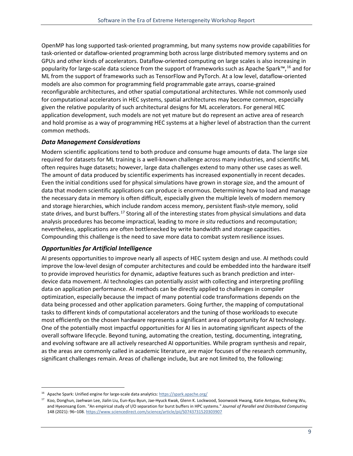OpenMP has long supported task-oriented programming, but many systems now provide capabilities for task-oriented or dataflow-oriented programming both across large distributed memory systems and on GPUs and other kinds of accelerators. Dataflow-oriented computing on large scales is also increasing in popularity for large-scale data science from the support of frameworks such as Apache Spark™,<sup>[16](#page-10-2)</sup> and for ML from the support of frameworks such as TensorFlow and PyTorch. At a low level, dataflow-oriented models are also common for programming field programmable gate arrays, coarse-grained reconfigurable architectures, and other spatial computational architectures. While not commonly used for computational accelerators in HEC systems, spatial architectures may become common, especially given the relative popularity of such architectural designs for ML accelerators. For general HEC application development, such models are not yet mature but do represent an active area of research and hold promise as a way of programming HEC systems at a higher level of abstraction than the current common methods.

#### <span id="page-10-0"></span>*Data Management Considerations*

Modern scientific applications tend to both produce and consume huge amounts of data. The large size required for datasets for ML training is a well-known challenge across many industries, and scientific ML often requires huge datasets; however, large data challenges extend to many other use cases as well. The amount of data produced by scientific experiments has increased exponentially in recent decades. Even the initial conditions used for physical simulations have grown in storage size, and the amount of data that modern scientific applications can produce is enormous. Determining how to load and manage the necessary data in memory is often difficult, especially given the multiple levels of modern memory and storage hierarchies, which include random access memory, persistent flash-style memory, solid state drives, and burst buffers.<sup>[17](#page-10-3)</sup> Storing all of the interesting states from physical simulations and data analysis procedures has become impractical, leading to more *in situ* reductions and recomputation; nevertheless, applications are often bottlenecked by write bandwidth and storage capacities. Compounding this challenge is the need to save more data to combat system resilience issues.

#### <span id="page-10-1"></span>*Opportunities for Artificial Intelligence*

AI presents opportunities to improve nearly all aspects of HEC system design and use. AI methods could improve the low-level design of computer architectures and could be embedded into the hardware itself to provide improved heuristics for dynamic, adaptive features such as branch prediction and interdevice data movement. AI technologies can potentially assist with collecting and interpreting profiling data on application performance. AI methods can be directly applied to challenges in compiler optimization, especially because the impact of many potential code transformations depends on the data being processed and other application parameters. Going further, the mapping of computational tasks to different kinds of computational accelerators and the tuning of those workloads to execute most efficiently on the chosen hardware represents a significant area of opportunity for AI technology. One of the potentially most impactful opportunities for AI lies in automating significant aspects of the overall software lifecycle. Beyond tuning, automating the creation, testing, documenting, integrating, and evolving software are all actively researched AI opportunities. While program synthesis and repair, as the areas are commonly called in academic literature, are major focuses of the research community, significant challenges remain. Areas of challenge include, but are not limited to, the following:

<span id="page-10-2"></span><sup>&</sup>lt;sup>16</sup> Apache Spark: Unified engine for large-scale data analytics[: https://spark.apache.org/](https://spark.apache.org/)

<span id="page-10-3"></span><sup>&</sup>lt;sup>17</sup> Koo, Donghun, Jaehwan Lee, Jialin Liu, Eun-Kyu Byun, Jae-Hyuck Kwak, Glenn K. Lockwood, Soonwook Hwang, Katie Antypas, Kesheng Wu, and Hyeonsang Eom. "An empirical study of I/O separation for burst buffers in HPC systems." *Journal of Parallel and Distributed Computing* 148 (2021): 96–108. <https://www.sciencedirect.com/science/article/pii/S0743731520303907>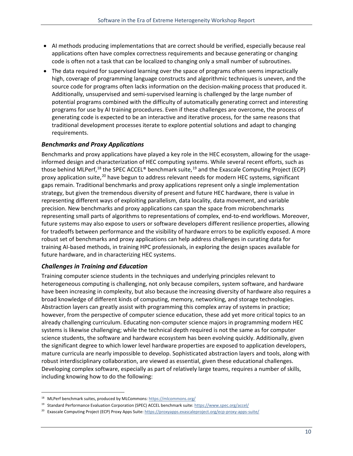- AI methods producing implementations that are correct should be verified, especially because real applications often have complex correctness requirements and because generating or changing code is often not a task that can be localized to changing only a small number of subroutines.
- The data required for supervised learning over the space of programs often seems impractically high, coverage of programming language constructs and algorithmic techniques is uneven, and the source code for programs often lacks information on the decision-making process that produced it. Additionally, unsupervised and semi-supervised learning is challenged by the large number of potential programs combined with the difficulty of automatically generating correct and interesting programs for use by AI training procedures. Even if these challenges are overcome, the process of generating code is expected to be an interactive and iterative process, for the same reasons that traditional development processes iterate to explore potential solutions and adapt to changing requirements.

#### <span id="page-11-0"></span>*Benchmarks and Proxy Applications*

Benchmarks and proxy applications have played a key role in the HEC ecosystem, allowing for the usageinformed design and characterization of HEC computing systems. While several recent efforts, such as those behind MLPerf,<sup>[18](#page-11-2)</sup> the SPEC ACCEL® benchmark suite,<sup>[19](#page-11-3)</sup> and the Exascale Computing Project (ECP) proxy application suite,<sup>[20](#page-11-4)</sup> have begun to address relevant needs for modern HEC systems, significant gaps remain. Traditional benchmarks and proxy applications represent only a single implementation strategy, but given the tremendous diversity of present and future HEC hardware, there is value in representing different ways of exploiting parallelism, data locality, data movement, and variable precision. New benchmarks and proxy applications can span the space from microbenchmarks representing small parts of algorithms to representations of complex, end-to-end workflows. Moreover, future systems may also expose to users or software developers different resilience properties, allowing for tradeoffs between performance and the visibility of hardware errors to be explicitly exposed. A more robust set of benchmarks and proxy applications can help address challenges in curating data for training AI-based methods, in training HPC professionals, in exploring the design spaces available for future hardware, and in characterizing HEC systems.

#### <span id="page-11-1"></span>*Challenges in Training and Education*

Training computer science students in the techniques and underlying principles relevant to heterogeneous computing is challenging, not only because compilers, system software, and hardware have been increasing in complexity, but also because the increasing diversity of hardware also requires a broad knowledge of different kinds of computing, memory, networking, and storage technologies. Abstraction layers can greatly assist with programming this complex array of systems in practice; however, from the perspective of computer science education, these add yet more critical topics to an already challenging curriculum. Educating non-computer science majors in programming modern HEC systems is likewise challenging; while the technical depth required is not the same as for computer science students, the software and hardware ecosystem has been evolving quickly. Additionally, given the significant degree to which lower level hardware properties are exposed to application developers, mature curricula are nearly impossible to develop. Sophisticated abstraction layers and tools, along with robust interdisciplinary collaboration, are viewed as essential, given these educational challenges. Developing complex software, especially as part of relatively large teams, requires a number of skills, including knowing how to do the following:

<span id="page-11-2"></span><sup>18</sup> MLPerf benchmark suites, produced by MLCommons: <https://mlcommons.org/>

<span id="page-11-3"></span><sup>19</sup> Standard Performance Evaluation Corporation (SPEC) ACCEL benchmark suite[: https://www.spec.org/accel/](https://www.spec.org/accel/)

<span id="page-11-4"></span><sup>&</sup>lt;sup>20</sup> Exascale Computing Project (ECP) Proxy Apps Suite[: https://proxyapps.exascaleproject.org/ecp-proxy-apps-suite/](https://proxyapps.exascaleproject.org/ecp-proxy-apps-suite/)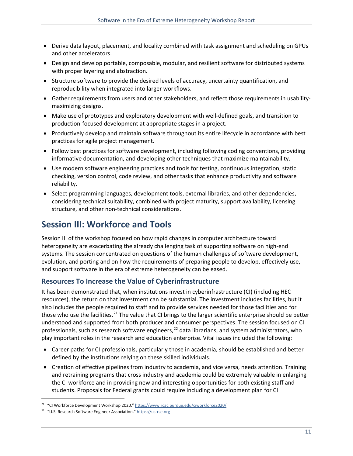- Derive data layout, placement, and locality combined with task assignment and scheduling on GPUs and other accelerators.
- Design and develop portable, composable, modular, and resilient software for distributed systems with proper layering and abstraction.
- Structure software to provide the desired levels of accuracy, uncertainty quantification, and reproducibility when integrated into larger workflows.
- Gather requirements from users and other stakeholders, and reflect those requirements in usabilitymaximizing designs.
- Make use of prototypes and exploratory development with well-defined goals, and transition to production-focused development at appropriate stages in a project.
- Productively develop and maintain software throughout its entire lifecycle in accordance with best practices for agile project management.
- Follow best practices for software development, including following coding conventions, providing informative documentation, and developing other techniques that maximize maintainability.
- Use modern software engineering practices and tools for testing, continuous integration, static checking, version control, code review, and other tasks that enhance productivity and software reliability.
- Select programming languages, development tools, external libraries, and other dependencies, considering technical suitability, combined with project maturity, support availability, licensing structure, and other non-technical considerations.

### <span id="page-12-0"></span>**Session III: Workforce and Tools**

Session III of the workshop focused on how rapid changes in computer architecture toward heterogeneity are exacerbating the already challenging task of supporting software on high-end systems. The session concentrated on questions of the human challenges of software development, evolution, and porting and on how the requirements of preparing people to develop, effectively use, and support software in the era of extreme heterogeneity can be eased.

#### <span id="page-12-1"></span>**Resources To Increase the Value of Cyberinfrastructure**

It has been demonstrated that, when institutions invest in cyberinfrastructure (CI) (including HEC resources), the return on that investment can be substantial. The investment includes facilities, but it also includes the people required to staff and to provide services needed for those facilities and for those who use the facilities.<sup>[21](#page-12-2)</sup> The value that CI brings to the larger scientific enterprise should be better understood and supported from both producer and consumer perspectives. The session focused on CI professionals, such as research software engineers,<sup>[22](#page-12-3)</sup> data librarians, and system administrators, who play important roles in the research and education enterprise. Vital issues included the following:

- Career paths for CI professionals, particularly those in academia, should be established and better defined by the institutions relying on these skilled individuals.
- Creation of effective pipelines from industry to academia, and vice versa, needs attention. Training and retraining programs that cross industry and academia could be extremely valuable in enlarging the CI workforce and in providing new and interesting opportunities for both existing staff and students. Proposals for Federal grants could require including a development plan for CI

<span id="page-12-2"></span><sup>&</sup>lt;sup>21</sup> "CI Workforce Development Workshop 2020.[" https://www.rcac.purdue.edu/ciworkforce2020/](https://www.rcac.purdue.edu/ciworkforce2020/)

<span id="page-12-3"></span><sup>22</sup> "U.S. Research Software Engineer Association.[" https://us-rse.org](https://us-rse.org/)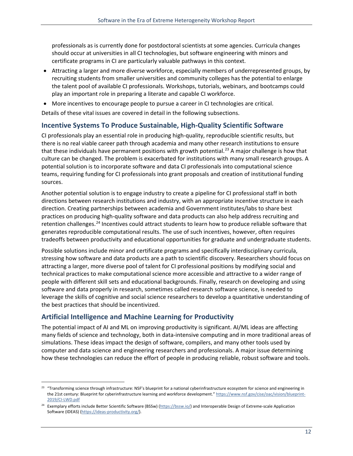professionals as is currently done for postdoctoral scientists at some agencies. Curricula changes should occur at universities in all CI technologies, but software engineering with minors and certificate programs in CI are particularly valuable pathways in this context.

- Attracting a larger and more diverse workforce, especially members of underrepresented groups, by recruiting students from smaller universities and community colleges has the potential to enlarge the talent pool of available CI professionals. Workshops, tutorials, webinars, and bootcamps could play an important role in preparing a literate and capable CI workforce.
- More incentives to encourage people to pursue a career in CI technologies are critical.

Details of these vital issues are covered in detail in the following subsections.

#### <span id="page-13-0"></span>**Incentive Systems To Produce Sustainable, High-Quality Scientific Software**

CI professionals play an essential role in producing high-quality, reproducible scientific results, but there is no real viable career path through academia and many other research institutions to ensure that these individuals have permanent positions with growth potential.<sup>[23](#page-13-2)</sup> A major challenge is how that culture can be changed. The problem is exacerbated for institutions with many small research groups. A potential solution is to incorporate software and data CI professionals into computational science teams, requiring funding for CI professionals into grant proposals and creation of institutional funding sources.

Another potential solution is to engage industry to create a pipeline for CI professional staff in both directions between research institutions and industry, with an appropriate incentive structure in each direction. Creating partnerships between academia and Government institutes/labs to share best practices on producing high-quality software and data products can also help address recruiting and retention challenges.<sup>[24](#page-13-3)</sup> Incentives could attract students to learn how to produce reliable software that generates reproducible computational results. The use of such incentives, however, often requires tradeoffs between productivity and educational opportunities for graduate and undergraduate students.

Possible solutions include minor and certificate programs and specifically interdisciplinary curricula, stressing how software and data products are a path to scientific discovery. Researchers should focus on attracting a larger, more diverse pool of talent for CI professional positions by modifying social and technical practices to make computational science more accessible and attractive to a wider range of people with different skill sets and educational backgrounds. Finally, research on developing and using software and data properly in research, sometimes called research software science, is needed to leverage the skills of cognitive and social science researchers to develop a quantitative understanding of the best practices that should be incentivized.

#### <span id="page-13-1"></span>**Artificial Intelligence and Machine Learning for Productivity**

The potential impact of AI and ML on improving productivity is significant. AI/ML ideas are affecting many fields of science and technology, both in data-intensive computing and in more traditional areas of simulations. These ideas impact the design of software, compilers, and many other tools used by computer and data science and engineering researchers and professionals. A major issue determining how these technologies can reduce the effort of people in producing reliable, robust software and tools.

<span id="page-13-2"></span><sup>&</sup>lt;sup>23</sup> "Transforming science through infrastructure: NSF's blueprint for a national cyberinfrastructure ecosystem for science and engineering in the 21st century: Blueprint for cyberinfrastructure learning and workforce development.[" https://www.nsf.gov/cise/oac/vision/blueprint-](https://www.nsf.gov/cise/oac/vision/blueprint-2019/CI-LWD.pdf)[2019/CI-LWD.pdf](https://www.nsf.gov/cise/oac/vision/blueprint-2019/CI-LWD.pdf)

<span id="page-13-3"></span><sup>&</sup>lt;sup>24</sup> Exemplary efforts include Better Scientific Software (BSSw) [\(https://bssw.io/\)](https://bssw.io/) and Interoperable Design of Extreme-scale Application Software (IDEAS) [\(https://ideas-productivity.org/\).](https://ideas-productivity.org/)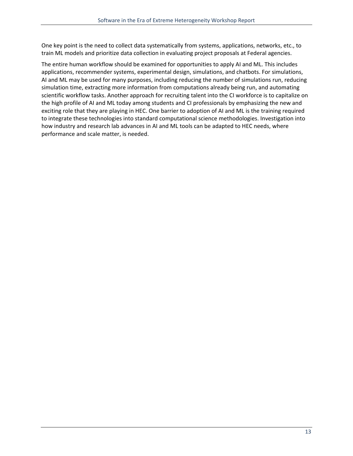One key point is the need to collect data systematically from systems, applications, networks, etc., to train ML models and prioritize data collection in evaluating project proposals at Federal agencies.

The entire human workflow should be examined for opportunities to apply AI and ML. This includes applications, recommender systems, experimental design, simulations, and chatbots. For simulations, AI and ML may be used for many purposes, including reducing the number of simulations run, reducing simulation time, extracting more information from computations already being run, and automating scientific workflow tasks. Another approach for recruiting talent into the CI workforce is to capitalize on the high profile of AI and ML today among students and CI professionals by emphasizing the new and exciting role that they are playing in HEC. One barrier to adoption of AI and ML is the training required to integrate these technologies into standard computational science methodologies. Investigation into how industry and research lab advances in AI and ML tools can be adapted to HEC needs, where performance and scale matter, is needed.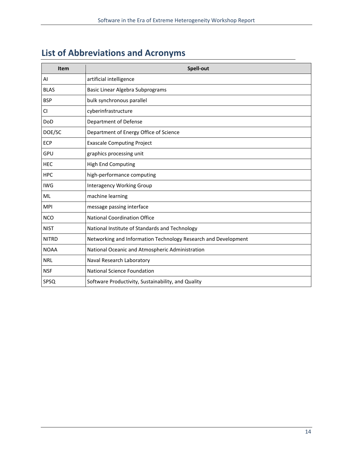# <span id="page-15-0"></span>**List of Abbreviations and Acronyms**

| Item         | Spell-out                                                      |
|--------------|----------------------------------------------------------------|
| AI           | artificial intelligence                                        |
| <b>BLAS</b>  | Basic Linear Algebra Subprograms                               |
| <b>BSP</b>   | bulk synchronous parallel                                      |
| CI           | cyberinfrastructure                                            |
| DoD          | Department of Defense                                          |
| DOE/SC       | Department of Energy Office of Science                         |
| <b>ECP</b>   | <b>Exascale Computing Project</b>                              |
| GPU          | graphics processing unit                                       |
| <b>HEC</b>   | <b>High End Computing</b>                                      |
| <b>HPC</b>   | high-performance computing                                     |
| <b>IWG</b>   | <b>Interagency Working Group</b>                               |
| ML           | machine learning                                               |
| <b>MPI</b>   | message passing interface                                      |
| <b>NCO</b>   | <b>National Coordination Office</b>                            |
| <b>NIST</b>  | National Institute of Standards and Technology                 |
| <b>NITRD</b> | Networking and Information Technology Research and Development |
| <b>NOAA</b>  | National Oceanic and Atmospheric Administration                |
| <b>NRL</b>   | Naval Research Laboratory                                      |
| <b>NSF</b>   | <b>National Science Foundation</b>                             |
| SPSQ         | Software Productivity, Sustainability, and Quality             |